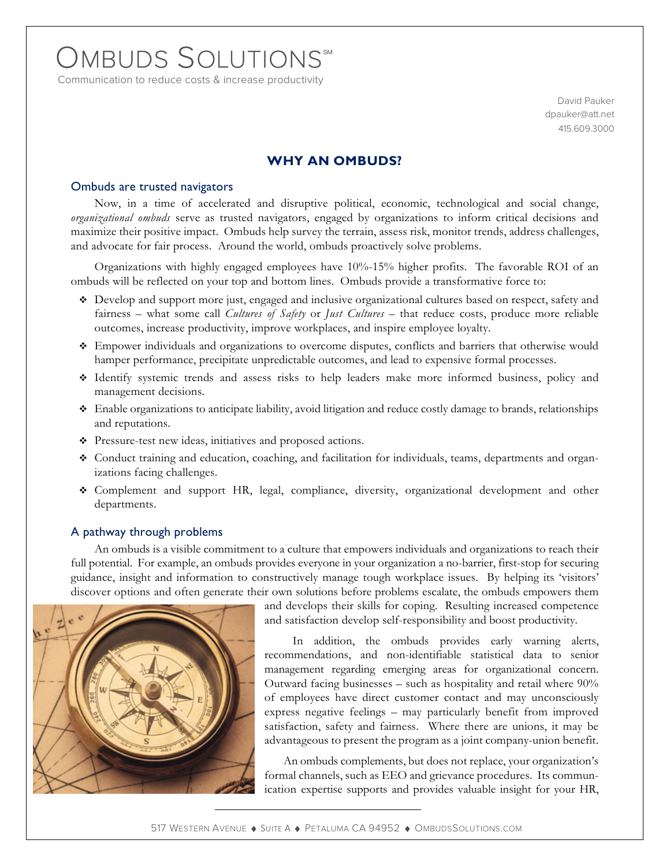# OMBUDS SOLUTIONS

Communication to reduce costs & increase productivity

David Pauker dpauker@att.net 415.609.3000

## **WHY AN OMBUDS?**

## Ombuds are trusted navigators

Now, in a time of accelerated and disruptive political, economic, technological and social change, *organizational ombuds* serve as trusted navigators, engaged by organizations to inform critical decisions and maximize their positive impact. Ombuds help survey the terrain, assess risk, monitor trends, address challenges, and advocate for fair process. Around the world, ombuds proactively solve problems.

Organizations with highly engaged employees have 10%-15% higher profits. The favorable ROI of an ombuds will be reflected on your top and bottom lines. Ombuds provide a transformative force to:

- Develop and support more just, engaged and inclusive organizational cultures based on respect, safety and fairness – what some call *Cultures of Safety* or *Just Cultures* – that reduce costs, produce more reliable outcomes, increase productivity, improve workplaces, and inspire employee loyalty.
- Empower individuals and organizations to overcome disputes, conflicts and barriers that otherwise would hamper performance, precipitate unpredictable outcomes, and lead to expensive formal processes.
- Identify systemic trends and assess risks to help leaders make more informed business, policy and management decisions.
- Enable organizations to anticipate liability, avoid litigation and reduce costly damage to brands, relationships and reputations.
- Pressure-test new ideas, initiatives and proposed actions.
- Conduct training and education, coaching, and facilitation for individuals, teams, departments and organizations facing challenges.
- Complement and support HR, legal, compliance, diversity, organizational development and other departments.

#### A pathway through problems

An ombuds is a visible commitment to a culture that empowers individuals and organizations to reach their full potential. For example, an ombuds provides everyone in your organization a no-barrier, first-stop for securing guidance, insight and information to constructively manage tough workplace issues. By helping its 'visitors' discover options and often generate their own solutions before problems escalate, the ombuds empowers them



and develops their skills for coping. Resulting increased competence and satisfaction develop self-responsibility and boost productivity.

 In addition, the ombuds provides early warning alerts, recommendations, and non-identifiable statistical data to senior management regarding emerging areas for organizational concern. Outward facing businesses – such as hospitality and retail where 90% of employees have direct customer contact and may unconsciously express negative feelings – may particularly benefit from improved satisfaction, safety and fairness. Where there are unions, it may be advantageous to present the program as a joint company-union benefit.

 An ombuds complements, but does not replace, your organization's formal channels, such as EEO and grievance procedures. Its communication expertise supports and provides valuable insight for your HR,